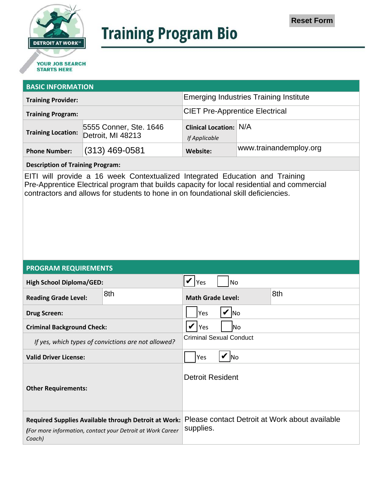

# **Training Program Bio**

## **STARTS HERE**

#### **BASIC INFORMATION**

| <b>Training Provider:</b> |                                                                | <b>Emerging Industries Training Institute</b>  |                        |
|---------------------------|----------------------------------------------------------------|------------------------------------------------|------------------------|
| <b>Training Program:</b>  |                                                                | <b>CIET Pre-Apprentice Electrical</b>          |                        |
|                           | 5555 Conner, Ste. 1646<br>Training Location: Detroit, MI 48213 | <b>Clinical Location: N/A</b><br>If Applicable |                        |
| <b>Phone Number:</b>      | $(313)$ 469-0581                                               | Website:                                       | www.trainandemploy.org |

#### **Description of Training Program:**

EITI will provide a 16 week Contextualized Integrated Education and Training Pre-Apprentice Electrical program that builds capacity for local residential and commercial contractors and allows for students to hone in on foundational skill deficiencies.

#### **PROGRAM REQUIREMENTS**

| <b>High School Diploma/GED:</b>                                                                                              |     | No<br>Yes                                                   |  |
|------------------------------------------------------------------------------------------------------------------------------|-----|-------------------------------------------------------------|--|
| <b>Reading Grade Level:</b>                                                                                                  | 8th | 8th<br><b>Math Grade Level:</b>                             |  |
| <b>Drug Screen:</b>                                                                                                          |     | Yes<br><b>No</b>                                            |  |
| <b>Criminal Background Check:</b>                                                                                            |     | Yes<br>lNo.                                                 |  |
| If yes, which types of convictions are not allowed?                                                                          |     | <b>Criminal Sexual Conduct</b>                              |  |
| <b>Valid Driver License:</b>                                                                                                 |     | Yes<br><b>INo</b>                                           |  |
| <b>Other Requirements:</b>                                                                                                   |     | <b>Detroit Resident</b>                                     |  |
| Required Supplies Available through Detroit at Work:<br>(For more information, contact your Detroit at Work Career<br>Coach) |     | Please contact Detroit at Work about available<br>supplies. |  |